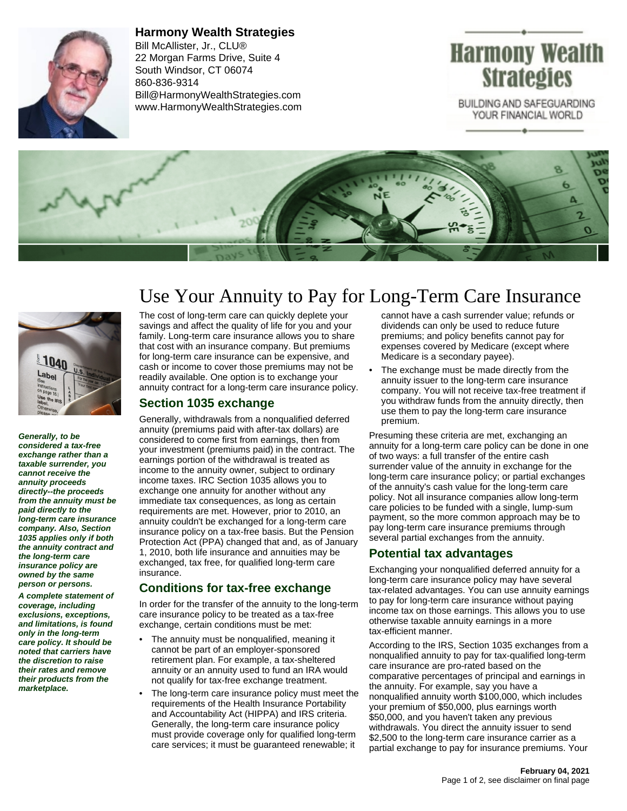

**Harmony Wealth Strategies** Bill McAllister, Jr., CLU® 22 Morgan Farms Drive, Suite 4 South Windsor, CT 06074 860-836-9314 Bill@HarmonyWealthStrategies.com www.HarmonyWealthStrategies.com

# Harmony Wealth **Strategies**

BUILDING AND SAFEGUARDING YOUR FINANCIAL WORLD





**Generally, to be considered a tax-free exchange rather than a taxable surrender, you cannot receive the annuity proceeds directly--the proceeds from the annuity must be paid directly to the long-term care insurance company. Also, Section 1035 applies only if both the annuity contract and the long-term care insurance policy are owned by the same person or persons.**

**A complete statement of coverage, including exclusions, exceptions, and limitations, is found only in the long-term care policy. It should be noted that carriers have the discretion to raise their rates and remove their products from the marketplace.**

# Use Your Annuity to Pay for Long-Term Care Insurance

The cost of long-term care can quickly deplete your savings and affect the quality of life for you and your family. Long-term care insurance allows you to share that cost with an insurance company. But premiums for long-term care insurance can be expensive, and cash or income to cover those premiums may not be readily available. One option is to exchange your annuity contract for a long-term care insurance policy.

#### **Section 1035 exchange**

Generally, withdrawals from a nonqualified deferred annuity (premiums paid with after-tax dollars) are considered to come first from earnings, then from your investment (premiums paid) in the contract. The earnings portion of the withdrawal is treated as income to the annuity owner, subject to ordinary income taxes. IRC Section 1035 allows you to exchange one annuity for another without any immediate tax consequences, as long as certain requirements are met. However, prior to 2010, an annuity couldn't be exchanged for a long-term care insurance policy on a tax-free basis. But the Pension Protection Act (PPA) changed that and, as of January 1, 2010, both life insurance and annuities may be exchanged, tax free, for qualified long-term care insurance.

## **Conditions for tax-free exchange**

In order for the transfer of the annuity to the long-term care insurance policy to be treated as a tax-free exchange, certain conditions must be met:

- The annuity must be nonqualified, meaning it cannot be part of an employer-sponsored retirement plan. For example, a tax-sheltered annuity or an annuity used to fund an IRA would not qualify for tax-free exchange treatment.
- The long-term care insurance policy must meet the requirements of the Health Insurance Portability and Accountability Act (HIPPA) and IRS criteria. Generally, the long-term care insurance policy must provide coverage only for qualified long-term care services; it must be guaranteed renewable; it

cannot have a cash surrender value; refunds or dividends can only be used to reduce future premiums; and policy benefits cannot pay for expenses covered by Medicare (except where Medicare is a secondary payee).

The exchange must be made directly from the annuity issuer to the long-term care insurance company. You will not receive tax-free treatment if you withdraw funds from the annuity directly, then use them to pay the long-term care insurance premium.

Presuming these criteria are met, exchanging an annuity for a long-term care policy can be done in one of two ways: a full transfer of the entire cash surrender value of the annuity in exchange for the long-term care insurance policy; or partial exchanges of the annuity's cash value for the long-term care policy. Not all insurance companies allow long-term care policies to be funded with a single, lump-sum payment, so the more common approach may be to pay long-term care insurance premiums through several partial exchanges from the annuity.

## **Potential tax advantages**

Exchanging your nonqualified deferred annuity for a long-term care insurance policy may have several tax-related advantages. You can use annuity earnings to pay for long-term care insurance without paying income tax on those earnings. This allows you to use otherwise taxable annuity earnings in a more tax-efficient manner.

According to the IRS, Section 1035 exchanges from a nonqualified annuity to pay for tax-qualified long-term care insurance are pro-rated based on the comparative percentages of principal and earnings in the annuity. For example, say you have a nonqualified annuity worth \$100,000, which includes your premium of \$50,000, plus earnings worth \$50,000, and you haven't taken any previous withdrawals. You direct the annuity issuer to send \$2,500 to the long-term care insurance carrier as a partial exchange to pay for insurance premiums. Your